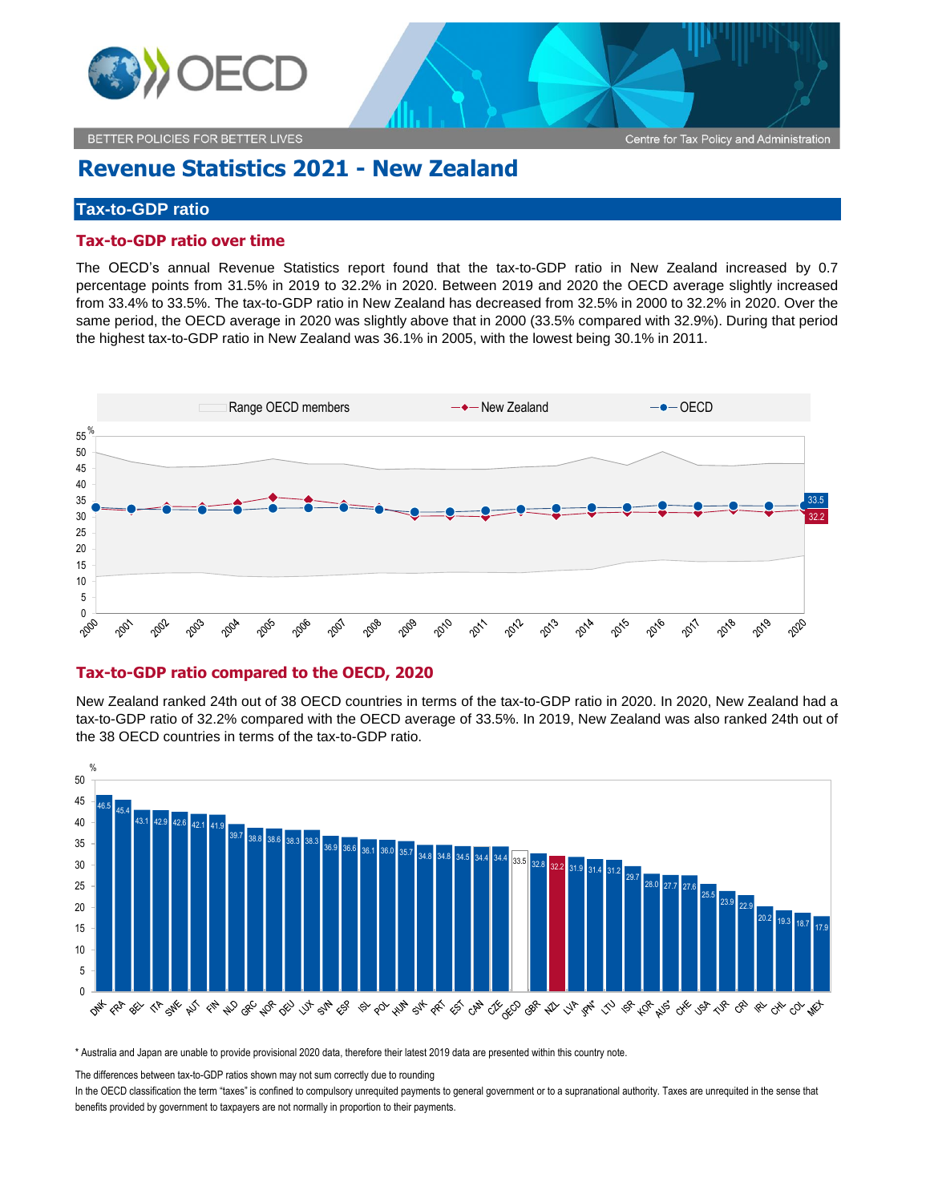

BETTER POLICIES FOR BETTER LIVES

# **Revenue Statistics 2021 - New Zealand**

## **Tax-to-GDP ratio**

### **Tax-to-GDP ratio over time**

The OECD's annual Revenue Statistics report found that the tax-to-GDP ratio in New Zealand increased by 0.7 percentage points from 31.5% in 2019 to 32.2% in 2020. Between 2019 and 2020 the OECD average slightly increased from 33.4% to 33.5%. The tax-to-GDP ratio in New Zealand has decreased from 32.5% in 2000 to 32.2% in 2020. Over the same period, the OECD average in 2020 was slightly above that in 2000 (33.5% compared with 32.9%). During that period the highest tax-to-GDP ratio in New Zealand was 36.1% in 2005, with the lowest being 30.1% in 2011.



## **Tax-to-GDP ratio compared to the OECD, 2020**

New Zealand ranked 24th out of 38 OECD countries in terms of the tax-to-GDP ratio in 2020. In 2020, New Zealand had a tax-to-GDP ratio of 32.2% compared with the OECD average of 33.5%. In 2019, New Zealand was also ranked 24th out of the 38 OECD countries in terms of the tax-to-GDP ratio.



\* Australia and Japan are unable to provide provisional 2020 data, therefore their latest 2019 data are presented within this country note.

The differences between tax-to-GDP ratios shown may not sum correctly due to rounding

In the OECD classification the term "taxes" is confined to compulsory unrequited payments to general government or to a supranational authority. Taxes are unrequited in the sense that benefits provided by government to taxpayers are not normally in proportion to their payments.